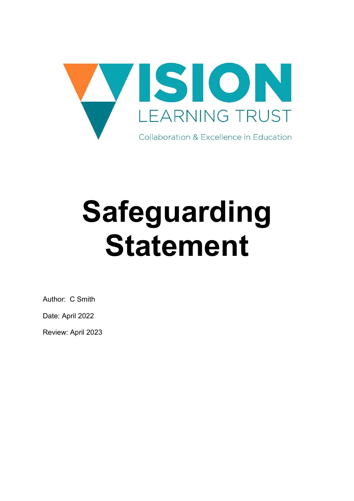

# Safeguarding Statement

Author: C Smith

Date: April 2022

Review: April 2023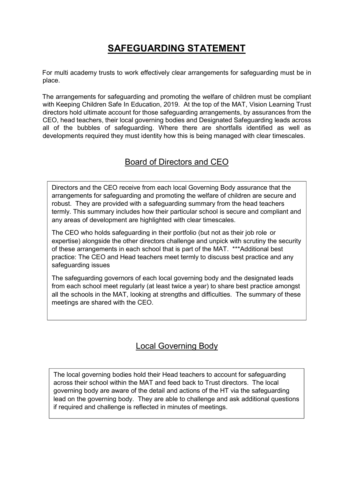## SAFEGUARDING STATEMENT

For multi academy trusts to work effectively clear arrangements for safeguarding must be in place.

The arrangements for safeguarding and promoting the welfare of children must be compliant with Keeping Children Safe In Education, 2019. At the top of the MAT, Vision Learning Trust directors hold ultimate account for those safeguarding arrangements, by assurances from the CEO, head teachers, their local governing bodies and Designated Safeguarding leads across all of the bubbles of safeguarding. Where there are shortfalls identified as well as developments required they must identity how this is being managed with clear timescales.

#### Board of Directors and CEO

Directors and the CEO receive from each local Governing Body assurance that the arrangements for safeguarding and promoting the welfare of children are secure and robust. They are provided with a safeguarding summary from the head teachers termly. This summary includes how their particular school is secure and compliant and any areas of development are highlighted with clear timescales.

The CEO who holds safeguarding in their portfolio (but not as their job role or expertise) alongside the other directors challenge and unpick with scrutiny the security of these arrangements in each school that is part of the MAT. \*\*\*Additional best practice: The CEO and Head teachers meet termly to discuss best practice and any safeguarding issues

The safeguarding governors of each local governing body and the designated leads from each school meet regularly (at least twice a year) to share best practice amongst all the schools in the MAT, looking at strengths and difficulties. The summary of these meetings are shared with the CEO.

#### Local Governing Body

The local governing bodies hold their Head teachers to account for safeguarding across their school within the MAT and feed back to Trust directors. The local governing body are aware of the detail and actions of the HT via the safeguarding lead on the governing body. They are able to challenge and ask additional questions if required and challenge is reflected in minutes of meetings.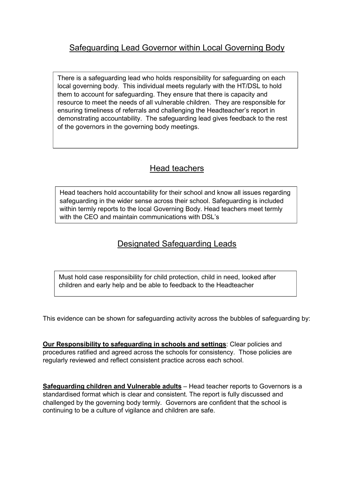There is a safeguarding lead who holds responsibility for safeguarding on each local governing body. This individual meets regularly with the HT/DSL to hold them to account for safeguarding. They ensure that there is capacity and resource to meet the needs of all vulnerable children. They are responsible for ensuring timeliness of referrals and challenging the Headteacher's report in demonstrating accountability. The safeguarding lead gives feedback to the rest of the governors in the governing body meetings.

### Head teachers

Head teachers hold accountability for their school and know all issues regarding safeguarding in the wider sense across their school. Safeguarding is included within termly reports to the local Governing Body. Head teachers meet termly with the CEO and maintain communications with DSL's

#### Designated Safeguarding Leads

Must hold case responsibility for child protection, child in need, looked after children and early help and be able to feedback to the Headteacher

This evidence can be shown for safeguarding activity across the bubbles of safeguarding by:

Our Responsibility to safeguarding in schools and settings: Clear policies and procedures ratified and agreed across the schools for consistency. Those policies are regularly reviewed and reflect consistent practice across each school.

Safeguarding children and Vulnerable adults - Head teacher reports to Governors is a standardised format which is clear and consistent. The report is fully discussed and challenged by the governing body termly. Governors are confident that the school is continuing to be a culture of vigilance and children are safe.